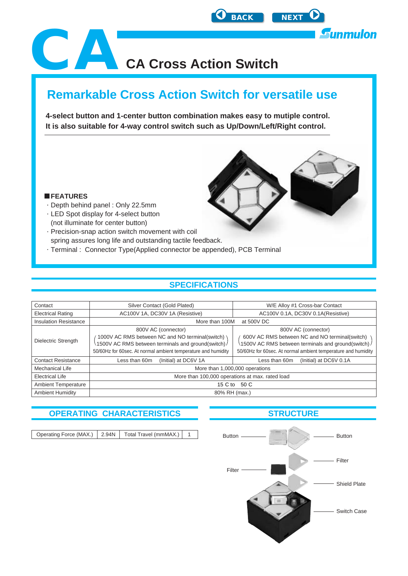<span id="page-0-0"></span>

## **Remarkable Cross Action Switch for versatile use**

**4-select button and 1-center button combination makes easy to mutiple control. It is also suitable for 4-way control switch such as Up/Down/Left/Right control.**



#### **FEATURES**

- Depth behind panel : Only 22.5mm
- LED Spot display for 4-select button (not illuminate for center button)
- Precision-snap action switch movement with coil spring assures long life and outstanding tactile feedback.
- Terminal : Connector Type(Applied connector be appended), PCB Terminal

#### **SPECIFICATIONS**

| Contact                      | Silver Contact (Gold Plated)                                                                                                                                                                    | W/E Alloy #1 Cross-bar Contact                                                                                                                                                               |  |  |
|------------------------------|-------------------------------------------------------------------------------------------------------------------------------------------------------------------------------------------------|----------------------------------------------------------------------------------------------------------------------------------------------------------------------------------------------|--|--|
| <b>Electrical Rating</b>     | AC100V 1A, DC30V 1A (Resistive)                                                                                                                                                                 | AC100V 0.1A, DC30V 0.1A(Resistive)                                                                                                                                                           |  |  |
| <b>Insulation Resistance</b> | More than 100M<br>at 500V DC                                                                                                                                                                    |                                                                                                                                                                                              |  |  |
| Dielectric Strength          | 800V AC (connector)<br>1000V AC RMS between NC and NO terminal(switch) \<br>1500V AC RMS between terminals and ground(switch)/<br>50/60Hz for 60sec. At normal ambient temperature and humidity | 800V AC (connector)<br>600V AC RMS between NC and NO terminal(switch)<br>1500V AC RMS between terminals and ground(switch)/<br>50/60Hz for 60sec. At normal ambient temperature and humidity |  |  |
| <b>Contact Resistance</b>    | (Initial) at DC6V 1A<br>Less than 60m                                                                                                                                                           | (Initial) at DC6V 0.1A<br>Less than 60m                                                                                                                                                      |  |  |
| <b>Mechanical Life</b>       | More than 1,000,000 operations                                                                                                                                                                  |                                                                                                                                                                                              |  |  |
| <b>Electrical Life</b>       | More than 100,000 operations at max. rated load                                                                                                                                                 |                                                                                                                                                                                              |  |  |
| <b>Ambient Temperature</b>   | 15 C to 50 C                                                                                                                                                                                    |                                                                                                                                                                                              |  |  |
| <b>Ambient Humidity</b>      | 80% RH (max.)                                                                                                                                                                                   |                                                                                                                                                                                              |  |  |

#### **OPERATING CHARACTERISTICS STRUCTURE**

| Operating Force (MAX.)   2.94N   Total Travel (mmMAX.) |  |  |
|--------------------------------------------------------|--|--|
|                                                        |  |  |

## Button **Button** Button Filter Filter Shield Plate Switch Case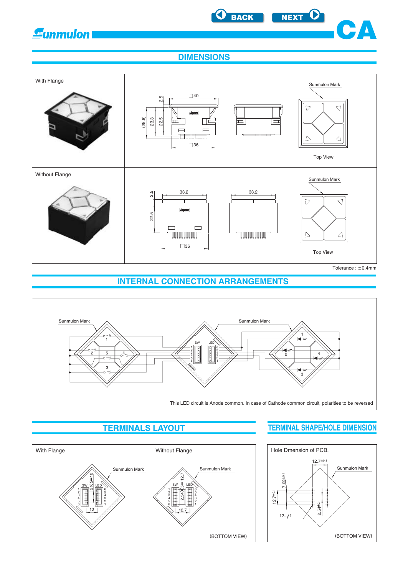<span id="page-1-0"></span>

**[BACK](#page-0-0) [NEXT](#page-2-0)**



**DIMENSIONS**



**INTERNAL CONNECTION ARRANGEMENTS**





### **TERMINALS LAYOUT TERMINAL SHAPE/HOLE DIMENSION**

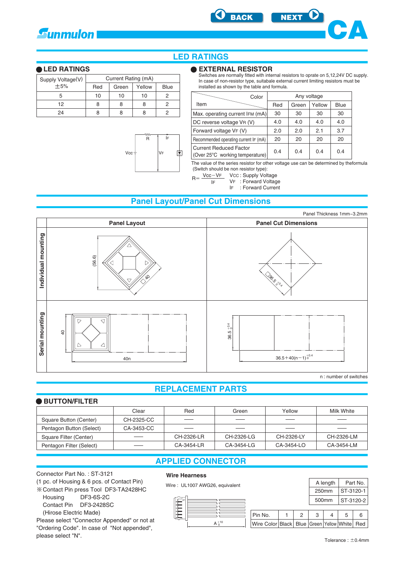<span id="page-2-0"></span>





#### **LED RATINGS**

#### **LED RATINGS**

| Supply Voltage(V) | Current Rating (mA) |       |        |      |  |
|-------------------|---------------------|-------|--------|------|--|
| $+5%$             | Red                 | Green | Yellow | Blue |  |
| 5                 | 10                  | 10    | 10     |      |  |
| 12                | 8                   | 8     | 8      |      |  |
| クイ                |                     |       |        |      |  |

R

Vcc

VF

IF

團



Switches are normally fitted with internal resistors to oprate on 5,12,24V DC supply. In case of non-resistor type, suitabale external current limiting resistors must be installed as shown by the table and formula.

| Color                                                            |     | Any voltage |        |             |
|------------------------------------------------------------------|-----|-------------|--------|-------------|
| Item                                                             | Red | Green       | Yellow | <b>Blue</b> |
| Max. operating current IFM (mA)                                  | 30  | 30          | 30     | 30          |
| DC reverse voltage VR (V)                                        | 4.0 | 4.0         | 4.0    | 4.0         |
| Forward voltage VF (V)                                           | 2.0 | 2.0         | 2.1    | 3.7         |
| Recommended operating current IF (mA)                            | 20  | 20          | 20     | 20          |
| <b>Current Reduced Factor</b><br>(Over 25°C working temperature) | 0.4 | 0.4         | 0.4    | 0.4         |

The value of the series resistor for other voltage use can be determined by theformula (Switch should be non resistor type):

 $R = \frac{Vcc - VF}{lF}$  Vcc: Supply Voltage

VF : Forward Voltage IF

IF : Forward Current

#### **Panel Layout/Panel Cut Dimensions**



#### **REPLACEMENT PARTS**

#### **BUTTON/FILTER**

|                          | Clear      | Red        | Green                    | Yellow     | Milk White |
|--------------------------|------------|------------|--------------------------|------------|------------|
| Square Button (Center)   | CH-2325-CC |            |                          |            |            |
| Pentagon Button (Select) | CA-3453-CC |            | $\overline{\phantom{a}}$ |            |            |
| Square Filter (Center)   | ___        | CH-2326-LR | CH-2326-LG               | CH-2326-LY | CH-2326-LM |
| Pentagon Filter (Select) |            | CA-3454-LR | CA-3454-LG               | CA-3454-LO | CA-3454-LM |

#### **APPLIED CONNECTOR**

#### Connector Part No. : ST-3121

(1 pc. of Housing & 6 pcs. of Contact Pin)

 Contact Pin press Tool DF3-TA2428HC Housing DF3-6S-2C

Contact Pin DF3-2428SC

(Hirose Electric Made)

Please select "Connector Appended" or not at "Ordering Code". In case of "Not appended", please select "N".

#### **Wire Hearness**



Panel Thickness 1mm~3.2mm